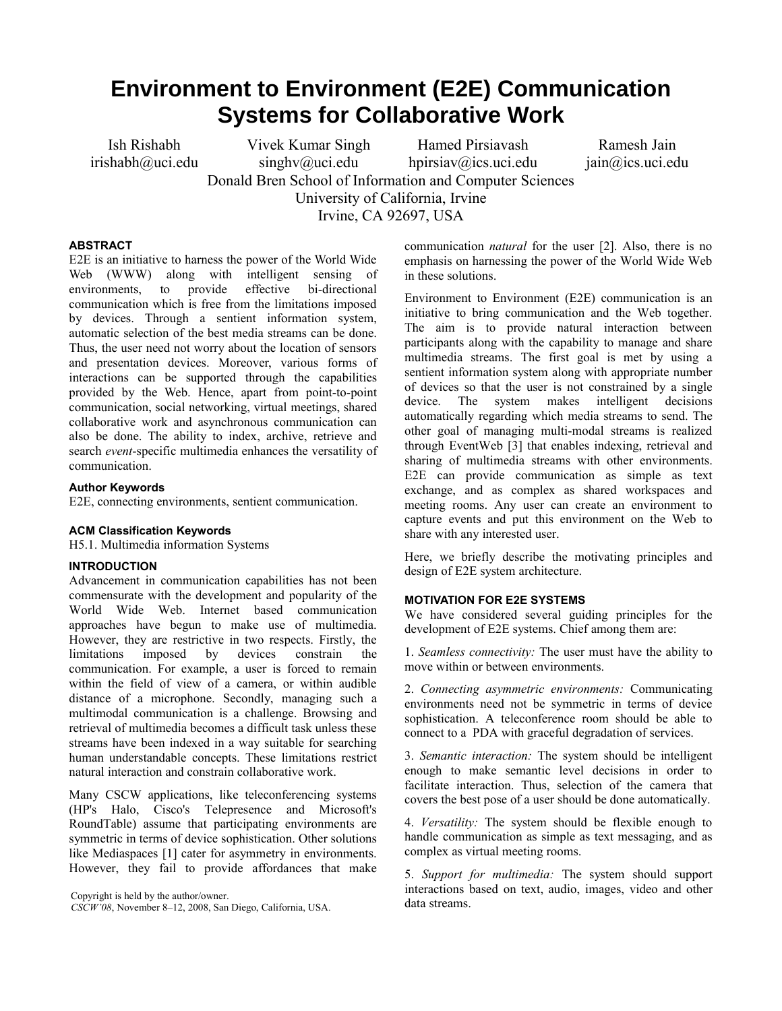# **Environment to Environment (E2E) Communication Systems for Collaborative Work**

Ish Rishabh irishabh@uci.edu Vivek Kumar Singh  $singhv@uci.edu$ 

Hamed Pirsiavash hpirsiav@ics.uci.edu

Ramesh Jain jain@ics.uci.edu

Donald Bren School of Information and Computer Sciences University of California, Irvine

Irvine, CA 92697, USA

#### **ABSTRACT**

E2E is an initiative to harness the power of the World Wide Web (WWW) along with intelligent sensing of environments, to provide effective bi-directional communication which is free from the limitations imposed by devices. Through a sentient information system, automatic selection of the best media streams can be done. Thus, the user need not worry about the location of sensors and presentation devices. Moreover, various forms of interactions can be supported through the capabilities provided by the Web. Hence, apart from point-to-point communication, social networking, virtual meetings, shared collaborative work and asynchronous communication can also be done. The ability to index, archive, retrieve and search *event*-specific multimedia enhances the versatility of communication.

#### **Author Keywords**

E2E, connecting environments, sentient communication.

#### **ACM Classification Keywords**

H5.1. Multimedia information Systems

#### **INTRODUCTION**

Advancement in communication capabilities has not been commensurate with the development and popularity of the World Wide Web. Internet based communication approaches have begun to make use of multimedia. However, they are restrictive in two respects. Firstly, the limitations imposed by devices constrain the communication. For example, a user is forced to remain within the field of view of a camera, or within audible distance of a microphone. Secondly, managing such a multimodal communication is a challenge. Browsing and retrieval of multimedia becomes a difficult task unless these streams have been indexed in a way suitable for searching human understandable concepts. These limitations restrict natural interaction and constrain collaborative work.

Many CSCW applications, like teleconferencing systems (HP's Halo, Cisco's Telepresence and Microsoft's RoundTable) assume that participating environments are symmetric in terms of device sophistication. Other solutions like Mediaspaces [1] cater for asymmetry in environments. However, they fail to provide affordances that make

Copyright is held by the author/owner.<br> *CSCW'08*, November 8–12, 2008, San Diego, California, USA. data streams.

communication *natural* for the user [2]. Also, there is no emphasis on harnessing the power of the World Wide Web in these solutions.

Environment to Environment (E2E) communication is an initiative to bring communication and the Web together. The aim is to provide natural interaction between participants along with the capability to manage and share multimedia streams. The first goal is met by using a sentient information system along with appropriate number of devices so that the user is not constrained by a single device. The system makes intelligent decisions automatically regarding which media streams to send. The other goal of managing multi-modal streams is realized through EventWeb [3] that enables indexing, retrieval and sharing of multimedia streams with other environments. E2E can provide communication as simple as text exchange, and as complex as shared workspaces and meeting rooms. Any user can create an environment to capture events and put this environment on the Web to share with any interested user.

Here, we briefly describe the motivating principles and design of E2E system architecture.

### **MOTIVATION FOR E2E SYSTEMS**

We have considered several guiding principles for the development of E2E systems. Chief among them are:

1. *Seamless connectivity:* The user must have the ability to move within or between environments.

2. *Connecting asymmetric environments:* Communicating environments need not be symmetric in terms of device sophistication. A teleconference room should be able to connect to a PDA with graceful degradation of services.

3. *Semantic interaction:* The system should be intelligent enough to make semantic level decisions in order to facilitate interaction. Thus, selection of the camera that covers the best pose of a user should be done automatically.

4. *Versatility:* The system should be flexible enough to handle communication as simple as text messaging, and as complex as virtual meeting rooms.

5. *Support for multimedia:* The system should support interactions based on text, audio, images, video and other